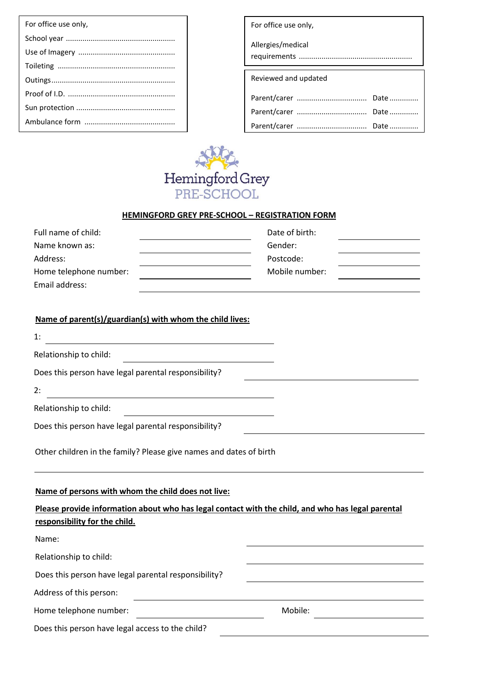| For office use only, |
|----------------------|
|                      |
|                      |
|                      |
|                      |
|                      |
|                      |
|                      |
|                      |

| For office use only, |  |  |
|----------------------|--|--|
| Allergies/medical    |  |  |
| Reviewed and updated |  |  |
|                      |  |  |
|                      |  |  |
|                      |  |  |



## **HEMINGFORD GREY PRE-SCHOOL – REGISTRATION FORM**

| Full name of child:    | Date of birth: |  |
|------------------------|----------------|--|
| Name known as:         | Gender:        |  |
| Address:               | Postcode:      |  |
| Home telephone number: | Mobile number: |  |
| Email address:         |                |  |

## **Name of parent(s)/guardian(s) with whom the child lives:**

| 1:                                                                                                                                                                                       |  |
|------------------------------------------------------------------------------------------------------------------------------------------------------------------------------------------|--|
| Relationship to child:                                                                                                                                                                   |  |
| Does this person have legal parental responsibility?                                                                                                                                     |  |
| 2:                                                                                                                                                                                       |  |
| Relationship to child:                                                                                                                                                                   |  |
| Does this person have legal parental responsibility?                                                                                                                                     |  |
| Other children in the family? Please give names and dates of birth                                                                                                                       |  |
| Name of persons with whom the child does not live:<br>Please provide information about who has legal contact with the child, and who has legal parental<br>responsibility for the child. |  |

| Name:                                                |         |  |
|------------------------------------------------------|---------|--|
| Relationship to child:                               |         |  |
| Does this person have legal parental responsibility? |         |  |
| Address of this person:                              |         |  |
| Home telephone number:                               | Mobile: |  |
| Does this person have legal access to the child?     |         |  |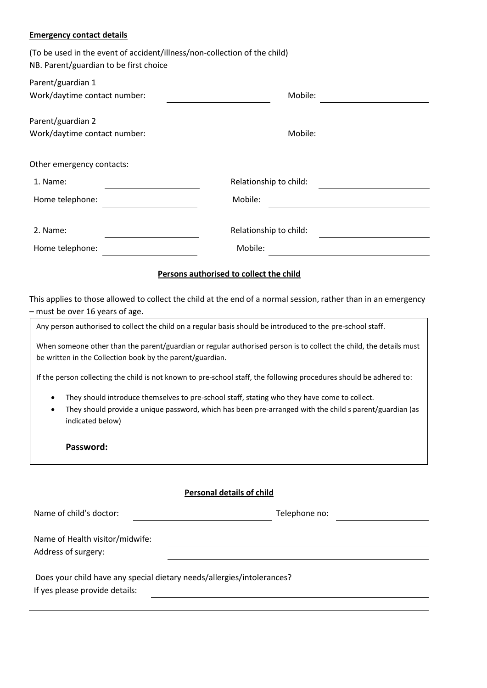## **Emergency contact details**

| (To be used in the event of accident/illness/non-collection of the child)<br>NB. Parent/guardian to be first choice |                                                                                                                                                                                                                                                                                                                                                                                                                                                                                                                                                                     |
|---------------------------------------------------------------------------------------------------------------------|---------------------------------------------------------------------------------------------------------------------------------------------------------------------------------------------------------------------------------------------------------------------------------------------------------------------------------------------------------------------------------------------------------------------------------------------------------------------------------------------------------------------------------------------------------------------|
| Parent/guardian 1<br>Work/daytime contact number:                                                                   | Mobile:                                                                                                                                                                                                                                                                                                                                                                                                                                                                                                                                                             |
| Parent/guardian 2<br>Work/daytime contact number:                                                                   | Mobile:                                                                                                                                                                                                                                                                                                                                                                                                                                                                                                                                                             |
| Other emergency contacts:                                                                                           |                                                                                                                                                                                                                                                                                                                                                                                                                                                                                                                                                                     |
| 1. Name:                                                                                                            | Relationship to child:                                                                                                                                                                                                                                                                                                                                                                                                                                                                                                                                              |
| Home telephone:                                                                                                     | Mobile:                                                                                                                                                                                                                                                                                                                                                                                                                                                                                                                                                             |
| 2. Name:                                                                                                            | Relationship to child:                                                                                                                                                                                                                                                                                                                                                                                                                                                                                                                                              |
| Home telephone:                                                                                                     | Mobile:                                                                                                                                                                                                                                                                                                                                                                                                                                                                                                                                                             |
| - must be over 16 years of age.<br>be written in the Collection book by the parent/guardian.<br>indicated below)    | Any person authorised to collect the child on a regular basis should be introduced to the pre-school staff.<br>When someone other than the parent/guardian or regular authorised person is to collect the child, the details must<br>If the person collecting the child is not known to pre-school staff, the following procedures should be adhered to:<br>They should introduce themselves to pre-school staff, stating who they have come to collect.<br>They should provide a unique password, which has been pre-arranged with the child s parent/guardian (as |
| Password:                                                                                                           | <b>Personal details of child</b>                                                                                                                                                                                                                                                                                                                                                                                                                                                                                                                                    |
| Name of child's doctor:                                                                                             | Telephone no:                                                                                                                                                                                                                                                                                                                                                                                                                                                                                                                                                       |
| Name of Health visitor/midwife:<br>Address of surgery:                                                              |                                                                                                                                                                                                                                                                                                                                                                                                                                                                                                                                                                     |
| Does your child have any special dietary needs/allergies/intolerances?                                              |                                                                                                                                                                                                                                                                                                                                                                                                                                                                                                                                                                     |

If yes please provide details: